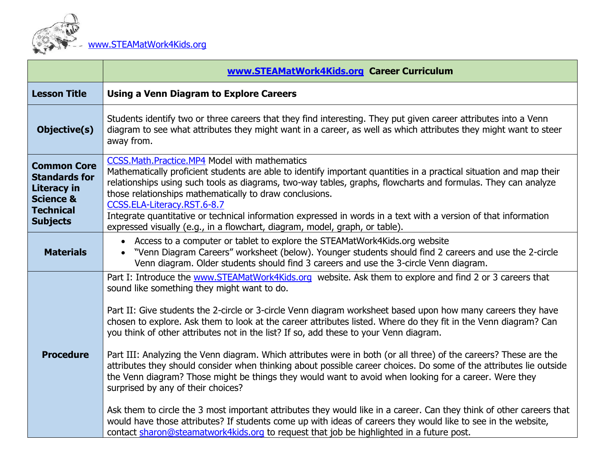

|                                                                                                                          | www.STEAMatWork4Kids.org Career Curriculum                                                                                                                                                                                                                                                                                                                                                                                                                                                                                                                                                                                                                                                                                                                                                                                                                                                                                                                                                                                                                                                                                                                                                                        |
|--------------------------------------------------------------------------------------------------------------------------|-------------------------------------------------------------------------------------------------------------------------------------------------------------------------------------------------------------------------------------------------------------------------------------------------------------------------------------------------------------------------------------------------------------------------------------------------------------------------------------------------------------------------------------------------------------------------------------------------------------------------------------------------------------------------------------------------------------------------------------------------------------------------------------------------------------------------------------------------------------------------------------------------------------------------------------------------------------------------------------------------------------------------------------------------------------------------------------------------------------------------------------------------------------------------------------------------------------------|
| <b>Lesson Title</b>                                                                                                      | <b>Using a Venn Diagram to Explore Careers</b>                                                                                                                                                                                                                                                                                                                                                                                                                                                                                                                                                                                                                                                                                                                                                                                                                                                                                                                                                                                                                                                                                                                                                                    |
| Objective(s)                                                                                                             | Students identify two or three careers that they find interesting. They put given career attributes into a Venn<br>diagram to see what attributes they might want in a career, as well as which attributes they might want to steer<br>away from.                                                                                                                                                                                                                                                                                                                                                                                                                                                                                                                                                                                                                                                                                                                                                                                                                                                                                                                                                                 |
| <b>Common Core</b><br><b>Standards for</b><br>Literacy in<br><b>Science &amp;</b><br><b>Technical</b><br><b>Subjects</b> | <b>CCSS.Math.Practice.MP4 Model with mathematics</b><br>Mathematically proficient students are able to identify important quantities in a practical situation and map their<br>relationships using such tools as diagrams, two-way tables, graphs, flowcharts and formulas. They can analyze<br>those relationships mathematically to draw conclusions.<br>CCSS.ELA-Literacy.RST.6-8.7<br>Integrate quantitative or technical information expressed in words in a text with a version of that information<br>expressed visually (e.g., in a flowchart, diagram, model, graph, or table).                                                                                                                                                                                                                                                                                                                                                                                                                                                                                                                                                                                                                          |
| <b>Materials</b>                                                                                                         | • Access to a computer or tablet to explore the STEAMatWork4Kids.org website<br>• "Venn Diagram Careers" worksheet (below). Younger students should find 2 careers and use the 2-circle<br>Venn diagram. Older students should find 3 careers and use the 3-circle Venn diagram.                                                                                                                                                                                                                                                                                                                                                                                                                                                                                                                                                                                                                                                                                                                                                                                                                                                                                                                                  |
| <b>Procedure</b>                                                                                                         | Part I: Introduce the www.STEAMatWork4Kids.org website. Ask them to explore and find 2 or 3 careers that<br>sound like something they might want to do.<br>Part II: Give students the 2-circle or 3-circle Venn diagram worksheet based upon how many careers they have<br>chosen to explore. Ask them to look at the career attributes listed. Where do they fit in the Venn diagram? Can<br>you think of other attributes not in the list? If so, add these to your Venn diagram.<br>Part III: Analyzing the Venn diagram. Which attributes were in both (or all three) of the careers? These are the<br>attributes they should consider when thinking about possible career choices. Do some of the attributes lie outside<br>the Venn diagram? Those might be things they would want to avoid when looking for a career. Were they<br>surprised by any of their choices?<br>Ask them to circle the 3 most important attributes they would like in a career. Can they think of other careers that<br>would have those attributes? If students come up with ideas of careers they would like to see in the website,<br>contact sharon@steamatwork4kids.org to request that job be highlighted in a future post. |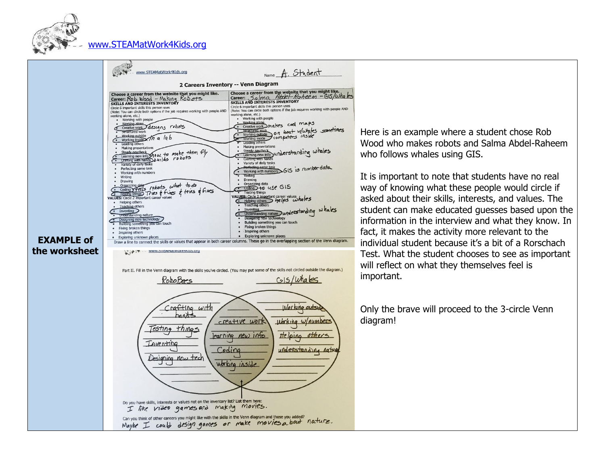

## [www.STEAMatWork4Kids.org](http://www.steamatwork4kids.org/)



Here is an example where a student chose Rob Wood who makes robots and Salma Abdel-Raheem who follows whales using GIS.

It is important to note that students have no real way of knowing what these people would circle if asked about their skills, interests, and values. The student can make educated guesses based upon the information in the interview and what they know. In fact, it makes the activity more relevant to the individual student because it's a bit of a Rorschach Test. What the student chooses to see as important will reflect on what they themselves feel is important.

Only the brave will proceed to the 3-circle Venn diagram!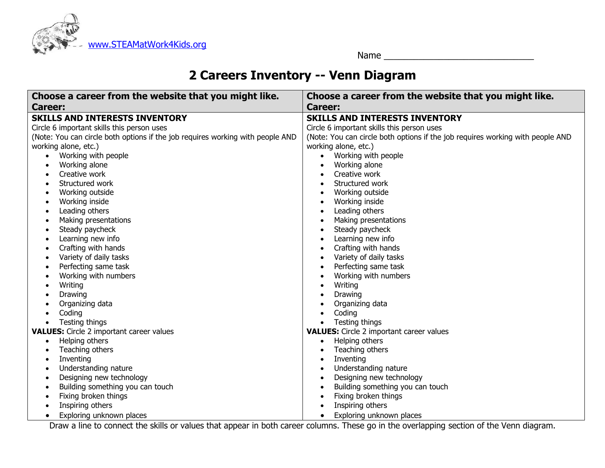

Name \_\_\_\_\_\_\_\_\_\_\_\_\_\_\_\_\_\_\_\_\_\_\_\_\_\_\_\_\_\_

## **2 Careers Inventory -- Venn Diagram**

| Choose a career from the website that you might like.                          | Choose a career from the website that you might like.                          |  |  |
|--------------------------------------------------------------------------------|--------------------------------------------------------------------------------|--|--|
| <b>Career:</b>                                                                 | <b>Career:</b>                                                                 |  |  |
| <b>SKILLS AND INTERESTS INVENTORY</b>                                          | <b>SKILLS AND INTERESTS INVENTORY</b>                                          |  |  |
| Circle 6 important skills this person uses                                     | Circle 6 important skills this person uses                                     |  |  |
| (Note: You can circle both options if the job requires working with people AND | (Note: You can circle both options if the job requires working with people AND |  |  |
| working alone, etc.)                                                           | working alone, etc.)                                                           |  |  |
| Working with people                                                            | Working with people                                                            |  |  |
| Working alone                                                                  | Working alone                                                                  |  |  |
| Creative work                                                                  | Creative work                                                                  |  |  |
| Structured work                                                                | Structured work                                                                |  |  |
| Working outside                                                                | Working outside                                                                |  |  |
| Working inside                                                                 | Working inside                                                                 |  |  |
| Leading others<br>$\bullet$                                                    | Leading others<br>$\bullet$                                                    |  |  |
| Making presentations<br>$\bullet$                                              | Making presentations<br>$\bullet$                                              |  |  |
| Steady paycheck<br>٠                                                           | Steady paycheck                                                                |  |  |
| Learning new info<br>$\bullet$                                                 | Learning new info                                                              |  |  |
| Crafting with hands                                                            | Crafting with hands                                                            |  |  |
| Variety of daily tasks                                                         | Variety of daily tasks                                                         |  |  |
| Perfecting same task<br>٠                                                      | Perfecting same task                                                           |  |  |
| Working with numbers<br>$\bullet$                                              | Working with numbers                                                           |  |  |
| Writing                                                                        | Writing                                                                        |  |  |
| Drawing                                                                        | Drawing                                                                        |  |  |
| Organizing data                                                                | Organizing data                                                                |  |  |
| Coding                                                                         | Coding                                                                         |  |  |
| Testing things<br>$\bullet$                                                    | Testing things<br>$\bullet$                                                    |  |  |
| <b>VALUES:</b> Circle 2 important career values                                | <b>VALUES:</b> Circle 2 important career values                                |  |  |
| Helping others<br>$\bullet$                                                    | Helping others<br>$\bullet$                                                    |  |  |
| Teaching others                                                                | Teaching others                                                                |  |  |
| Inventing                                                                      | Inventing                                                                      |  |  |
| Understanding nature<br>٠                                                      | Understanding nature                                                           |  |  |
| Designing new technology<br>٠                                                  | Designing new technology                                                       |  |  |
| Building something you can touch<br>٠                                          | Building something you can touch                                               |  |  |
| Fixing broken things<br>٠                                                      | Fixing broken things                                                           |  |  |
| Inspiring others                                                               | Inspiring others                                                               |  |  |
| Exploring unknown places<br>$\bullet$                                          | Exploring unknown places<br>$\bullet$                                          |  |  |

Draw a line to connect the skills or values that appear in both career columns. These go in the overlapping section of the Venn diagram.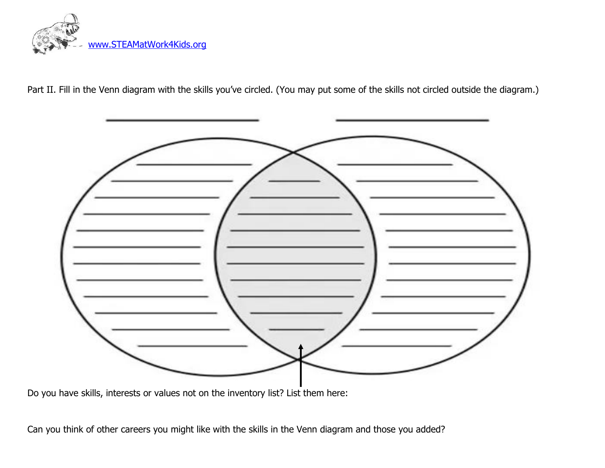

Part II. Fill in the Venn diagram with the skills you've circled. (You may put some of the skills not circled outside the diagram.)



Do you have skills, interests or values not on the inventory list? List them here:

Can you think of other careers you might like with the skills in the Venn diagram and those you added?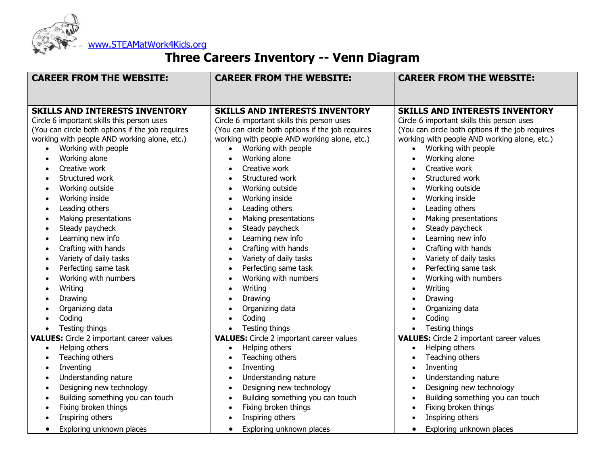

## **Three Careers Inventory -- Venn Diagram**

| <b>CAREER FROM THE WEBSITE:</b>                                                                                                                                                                                                                                                                                                                                                                                                                                                                                                                                                                                                                | <b>CAREER FROM THE WEBSITE:</b>                                                                                                                                                                                                                                                                                                                                                                                                                                                                                                                                                                                                                                                                                                                                                                                         | <b>CAREER FROM THE WEBSITE:</b>                                                                                                                                                                                                                                                                                                                                                                                                                                                                                                                                                                                                                                                       |
|------------------------------------------------------------------------------------------------------------------------------------------------------------------------------------------------------------------------------------------------------------------------------------------------------------------------------------------------------------------------------------------------------------------------------------------------------------------------------------------------------------------------------------------------------------------------------------------------------------------------------------------------|-------------------------------------------------------------------------------------------------------------------------------------------------------------------------------------------------------------------------------------------------------------------------------------------------------------------------------------------------------------------------------------------------------------------------------------------------------------------------------------------------------------------------------------------------------------------------------------------------------------------------------------------------------------------------------------------------------------------------------------------------------------------------------------------------------------------------|---------------------------------------------------------------------------------------------------------------------------------------------------------------------------------------------------------------------------------------------------------------------------------------------------------------------------------------------------------------------------------------------------------------------------------------------------------------------------------------------------------------------------------------------------------------------------------------------------------------------------------------------------------------------------------------|
| <b>SKILLS AND INTERESTS INVENTORY</b><br>Circle 6 important skills this person uses<br>(You can circle both options if the job requires<br>working with people AND working alone, etc.)<br>Working with people<br>Working alone<br>Creative work<br>Structured work<br>Working outside<br>Working inside<br>$\bullet$<br>Leading others<br>$\bullet$<br>Making presentations<br>Steady paycheck<br>$\bullet$<br>Learning new info<br>Crafting with hands<br>$\bullet$<br>Variety of daily tasks<br>$\bullet$<br>Perfecting same task<br>Working with numbers<br>Writing<br>$\bullet$<br>Drawing<br>Organizing data<br>Coding<br>Testing things | <b>SKILLS AND INTERESTS INVENTORY</b><br>Circle 6 important skills this person uses<br>(You can circle both options if the job requires<br>working with people AND working alone, etc.)<br>Working with people<br>$\bullet$<br>Working alone<br>$\bullet$<br>Creative work<br>$\bullet$<br>Structured work<br>$\bullet$<br>Working outside<br>$\bullet$<br>Working inside<br>$\bullet$<br>Leading others<br>$\bullet$<br>Making presentations<br>$\bullet$<br>Steady paycheck<br>$\bullet$<br>Learning new info<br>$\bullet$<br>Crafting with hands<br>$\bullet$<br>Variety of daily tasks<br>$\bullet$<br>Perfecting same task<br>$\bullet$<br>Working with numbers<br>$\bullet$<br>Writing<br>$\bullet$<br>Drawing<br>$\bullet$<br>Organizing data<br>$\bullet$<br>Coding<br>$\bullet$<br>Testing things<br>$\bullet$ | <b>SKILLS AND INTERESTS INVENTORY</b><br>Circle 6 important skills this person uses<br>(You can circle both options if the job requires<br>working with people AND working alone, etc.)<br>Working with people<br>Working alone<br>Creative work<br>Structured work<br>Working outside<br>$\bullet$<br>Working inside<br>$\bullet$<br>Leading others<br>$\bullet$<br>Making presentations<br>$\bullet$<br>Steady paycheck<br>$\bullet$<br>Learning new info<br>Crafting with hands<br>$\bullet$<br>Variety of daily tasks<br>$\bullet$<br>Perfecting same task<br>$\bullet$<br>Working with numbers<br>Writing<br>Drawing<br>$\bullet$<br>Organizing data<br>Coding<br>Testing things |
| <b>VALUES:</b> Circle 2 important career values<br>Helping others<br>$\bullet$<br>Teaching others<br>Inventing<br>Understanding nature<br>Designing new technology<br>$\bullet$<br>Building something you can touch<br>$\bullet$<br>Fixing broken things<br>Inspiring others<br>Exploring unknown places<br>$\bullet$                                                                                                                                                                                                                                                                                                                          | <b>VALUES:</b> Circle 2 important career values<br>Helping others<br>$\bullet$<br>Teaching others<br>$\bullet$<br>Inventing<br>$\bullet$<br>Understanding nature<br>$\bullet$<br>Designing new technology<br>$\bullet$<br>Building something you can touch<br>$\bullet$<br>Fixing broken things<br>$\bullet$<br>Inspiring others<br>$\bullet$<br>Exploring unknown places<br>$\bullet$                                                                                                                                                                                                                                                                                                                                                                                                                                  | <b>VALUES:</b> Circle 2 important career values<br>Helping others<br>Teaching others<br>$\bullet$<br>Inventing<br>Understanding nature<br>Designing new technology<br>Building something you can touch<br>$\bullet$<br>Fixing broken things<br>Inspiring others<br>Exploring unknown places<br>$\bullet$                                                                                                                                                                                                                                                                                                                                                                              |